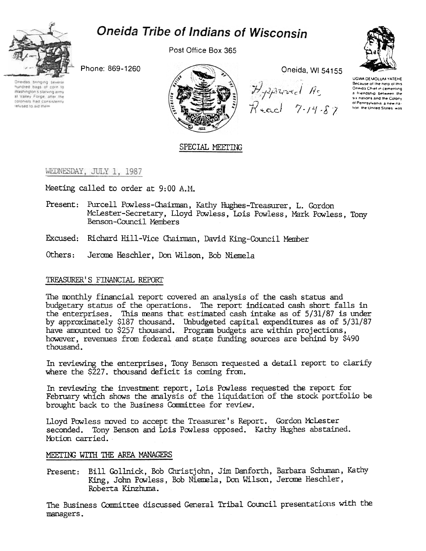



Post Office Box 365







Oneida, WI 54155

Apparel As<br>Read 7-14-87



UGWA DEMOLUM YATEHE Because of the help of this Oneida Chief in cementing a friendship between the six nations and the Colony of Pennsylvania a new nation the United States was

## SPECIAL MEETING

## WEDNESDAY, JULY 1, 1987

Meeting called to order at 9:00 A.M.

- Present: Purcell Powless-Chairman, Kathy Hughes-Treasurer, L. Gordon McLester-Secretary, Lloyd Powless, Lois Powless, Mark Powless, Tony Benson-Council Members
- Excused: Richard Hill-Vice Chairman, David King-Council Member
- Others: Jerome Heschler, Don Wilson, Bob Niemela

## TREASURER'S FINANCIAL REPORT

The monthly financial report covered an analysis of the cash status and budgetary status of the operations. The report indicated cash short falls in the enterprises. This means that estimated cash intake as of 5/31/87 is under by approximately \$187 thousand. Unbudgeted capital expenditures as of 5/31/87 have amounted to \$257 thousand. Program budgets are within projections, however, revenues from federal and state funding sources are behind by \$490 thous and.

In reviewing the enterprises, Tony Benson requested a detail report to clarify where the \$227, thousand deficit is coming from.

In reviewing the investment report, Lois Powless requested the report for February which shows the analysis of the liquidation of the stock portfolio be brought back to the Business Committee for review.

Lloyd Powless moved to accept the Treasurer's Report. Gordon McLester seconded. Tony Benson and Lois Powless opposed. Kathy Hughes abstained. Motion carried.

## MEETING WITH THE AREA MANAGERS

Present: Bill Gollnick, Bob Christjohn, Jim Danforth, Barbara Schuman, Kathy King, John Powless, Bob Niemela, Don Wilson, Jerome Heschler, Roberta Kinzhuma.

The Business Committee discussed General Tribal Council presentations with the managers.